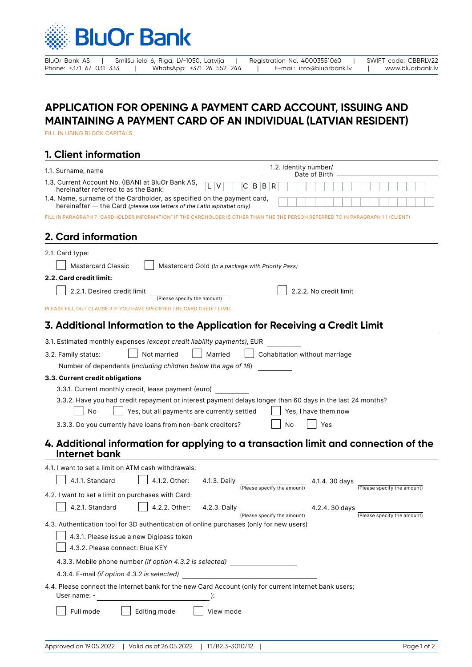

BluOr Bank AS | Smilšu iela 6, Rīga, LV-1050, Latvija | Registration No. 40003551060 | SWIFT code: CBBRLV22<br>Phone: +371 67 031 333 | WhatsApp: +371 26 552 244 | E-mail: info@bluorbank.lv | www.bluorbank.lv Phone: +371 26 552 244 | E-mail: info@bluorbank.lv | www.bluorbank.lv

## **APPLICATION FOR OPENING A PAYMENT CARD ACCOUNT, ISSUING AND MAINTAINING A PAYMENT CARD OF AN INDIVIDUAL (LATVIAN RESIDENT)**

FILL IN USING BLOCK CAPITALS

## **1. Client information**

| 1.1. Surname, name                                                                                                                                | 1.2. Identity number/<br>Date of Birth                                      |  |
|---------------------------------------------------------------------------------------------------------------------------------------------------|-----------------------------------------------------------------------------|--|
| 1.3. Current Account No. (IBAN) at BluOr Bank AS,<br>ΙV<br>C B B R<br>hereinafter referred to as the Bank:                                        |                                                                             |  |
| 1.4. Name, surname of the Cardholder, as specified on the payment card,<br>hereinafter - the Card (please use letters of the Latin alphabet only) |                                                                             |  |
| FILL IN PARAGRAPH 7 "CARDHOLDER INFORMATION" IF THE CARDHOLDER IS OTHER THAN THE THE PERSON REFERRED TO IN PARAGRAPH 1.1 (CLIENT)                 |                                                                             |  |
| 2. Card information                                                                                                                               |                                                                             |  |
| 2.1. Card type:                                                                                                                                   |                                                                             |  |
| <b>Mastercard Classic</b><br>Mastercard Gold (In a package with Priority Pass)                                                                    |                                                                             |  |
| 2.2. Card credit limit:                                                                                                                           |                                                                             |  |
| 2.2.1. Desired credit limit<br>(Please specify the amount)                                                                                        | 2.2.2. No credit limit                                                      |  |
| PLEASE FILL OUT CLAUSE 3 IF YOU HAVE SPECIFIED THE CARD CREDIT LIMIT.                                                                             |                                                                             |  |
| 3. Additional Information to the Application for Receiving a Credit Limit                                                                         |                                                                             |  |
| 3.1. Estimated monthly expenses (except credit liability payments), EUR                                                                           |                                                                             |  |
| Not married<br>Married<br>3.2. Family status:                                                                                                     | Cohabitation without marriage                                               |  |
| Number of dependents (including children below the age of 18)                                                                                     |                                                                             |  |
| 3.3. Current credit obligations                                                                                                                   |                                                                             |  |
| 3.3.1. Current monthly credit, lease payment (euro)                                                                                               |                                                                             |  |
| 3.3.2. Have you had credit repayment or interest payment delays longer than 60 days in the last 24 months?                                        |                                                                             |  |
| Yes, but all payments are currently settled<br>No                                                                                                 | Yes, I have them now                                                        |  |
| 3.3.3. Do you currently have loans from non-bank creditors?                                                                                       | No<br>Yes                                                                   |  |
| 4. Additional information for applying to a transaction limit and connection of the<br>Internet bank                                              |                                                                             |  |
| 4.1. I want to set a limit on ATM cash withdrawals:                                                                                               |                                                                             |  |
| 4.1.1. Standard<br>4.1.2. Other:<br>4.1.3. Daily                                                                                                  | 4.1.4.30 days<br>(Please specify the amount)<br>(Please specify the amount) |  |
| 4.2. I want to set a limit on purchases with Card:                                                                                                |                                                                             |  |
| 4.2.1. Standard<br>4.2.2. Other:<br>4.2.3. Daily                                                                                                  | 4.2.4.30 days<br>(Please specify the amount)<br>(Please specify the amount) |  |
| 4.3. Authentication tool for 3D authentication of online purchases (only for new users)                                                           |                                                                             |  |
| 4.3.1. Please issue a new Digipass token                                                                                                          |                                                                             |  |
| 4.3.2. Please connect: Blue KEY                                                                                                                   |                                                                             |  |
| 4.3.3. Mobile phone number (if option 4.3.2 is selected) _______________________                                                                  |                                                                             |  |
|                                                                                                                                                   |                                                                             |  |
| 4.4. Please connect the Internet bank for the new Card Account (only for current Internet bank users;<br>User name: -<br>):                       |                                                                             |  |
| Editing mode<br>Full mode<br>View mode                                                                                                            |                                                                             |  |